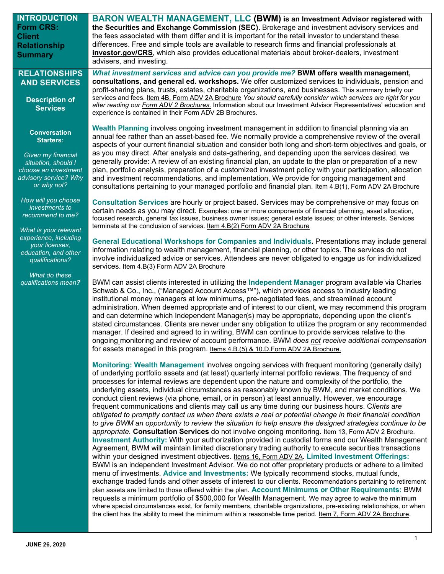| <b>INTRODUCTION</b>                      | <b>BARON WEALTH MANAGEMENT, LLC (BWM) is an Investment Advisor registered with</b>                                                                                                                                           |
|------------------------------------------|------------------------------------------------------------------------------------------------------------------------------------------------------------------------------------------------------------------------------|
| <b>Form CRS:</b>                         | the Securities and Exchange Commission (SEC). Brokerage and investment advisory services and                                                                                                                                 |
| <b>Client</b>                            | the fees associated with them differ and it is important for the retail investor to understand these                                                                                                                         |
| <b>Relationship</b>                      | differences. Free and simple tools are available to research firms and financial professionals at                                                                                                                            |
| <b>Summary</b>                           | investor.gov/CRS, which also provides educational materials about broker-dealers, investment                                                                                                                                 |
|                                          | advisers, and investing.                                                                                                                                                                                                     |
| <b>RELATIONSHIPS</b>                     | What investment services and advice can you provide me? BWM offers wealth management,                                                                                                                                        |
| <b>AND SERVICES</b>                      | consultations, and general ed. workshops. We offer customized services to individuals, pension and                                                                                                                           |
|                                          | profit-sharing plans, trusts, estates, charitable organizations, and businesses. This summary briefly our<br>services and fees. Item 4B, Form ADV 2A Brochure You should carefully consider which services are right for you |
| <b>Description of</b><br><b>Services</b> | after reading our Form ADV 2 Brochures. Information about our Investment Advisor Representatives' education and                                                                                                              |
|                                          | experience is contained in their Form ADV 2B Brochures.                                                                                                                                                                      |
|                                          |                                                                                                                                                                                                                              |
| <b>Conversation</b>                      | Wealth Planning involves ongoing investment management in addition to financial planning via an<br>annual fee rather than an asset-based fee. We normally provide a comprehensive review of the overall                      |
| <b>Starters:</b>                         | aspects of your current financial situation and consider both long and short-term objectives and goals, or                                                                                                                   |
| Given my financial                       | as you may direct. After analysis and data-gathering, and depending upon the services desired, we                                                                                                                            |
| situation, should I                      | generally provide: A review of an existing financial plan, an update to the plan or preparation of a new                                                                                                                     |
| choose an investment                     | plan, portfolio analysis, preparation of a customized investment policy with your participation, allocation                                                                                                                  |
| advisory service? Why                    | and investment recommendations, and implementation, We provide for ongoing management and                                                                                                                                    |
| or why not?                              | consultations pertaining to your managed portfolio and financial plan. Item 4.B(1), Form ADV 2A Brochure                                                                                                                     |
| How will you choose                      | Consultation Services are hourly or project based. Services may be comprehensive or may focus on                                                                                                                             |
| investments to                           | certain needs as you may direct. Examples: one or more components of financial planning, asset allocation,                                                                                                                   |
| recommend to me?                         | focused research, general tax issues, business owner issues; general estate issues; or other interests. Services                                                                                                             |
| What is your relevant                    | terminate at the conclusion of services. Item 4.B(2) Form ADV 2A Brochure                                                                                                                                                    |
| experience, including                    |                                                                                                                                                                                                                              |
| your licenses,                           | General Educational Workshops for Companies and Individuals. Presentations may include general<br>information relating to wealth management, financial planning, or other topics. The services do not                        |
| education, and other                     | involve individualized advice or services. Attendees are never obligated to engage us for individualized                                                                                                                     |
| qualifications?                          | services. Item 4.B(3) Form ADV 2A Brochure                                                                                                                                                                                   |
| What do these                            |                                                                                                                                                                                                                              |
| qualifications mean?                     | BWM can assist clients interested in utilizing the Independent Manager program available via Charles                                                                                                                         |
|                                          | Schwab & Co., Inc., ("Managed Account Access™"), which provides access to industry leading                                                                                                                                   |
|                                          | institutional money managers at low minimums, pre-negotiated fees, and streamlined account<br>administration. When deemed appropriate and of interest to our client, we may recommend this program                           |
|                                          | and can determine which Independent Manager(s) may be appropriate, depending upon the client's                                                                                                                               |
|                                          | stated circumstances. Clients are never under any obligation to utilize the program or any recommended                                                                                                                       |
|                                          | manager. If desired and agreed to in writing, BWM can continue to provide services relative to the                                                                                                                           |
|                                          | ongoing monitoring and review of account performance. BWM does not receive additional compensation                                                                                                                           |
|                                          | for assets managed in this program. Items 4.B.(5) & 10.D, Form ADV 2A Brochure.                                                                                                                                              |
|                                          |                                                                                                                                                                                                                              |
|                                          | Monitoring: Wealth Management involves ongoing services with frequent monitoring (generally daily)<br>of underlying portfolio assets and (at least) quarterly internal portfolio reviews. The frequency of and               |
|                                          | processes for internal reviews are dependent upon the nature and complexity of the portfolio, the                                                                                                                            |
|                                          | underlying assets, individual circumstances as reasonably known by BWM, and market conditions. We                                                                                                                            |
|                                          | conduct client reviews (via phone, email, or in person) at least annually. However, we encourage                                                                                                                             |
|                                          | frequent communications and clients may call us any time during our business hours. Clients are                                                                                                                              |
|                                          | obligated to promptly contact us when there exists a real or potential change in their financial condition                                                                                                                   |
|                                          | to give BWM an opportunity to review the situation to help ensure the designed strategies continue to be                                                                                                                     |
|                                          | appropriate. Consultation Services do not involve ongoing monitoring. Item 13, Form ADV 2 Brochure.<br>Investment Authority: With your authorization provided in custodial forms and our Wealth Management                   |
|                                          | Agreement, BWM will maintain limited discretionary trading authority to execute securities transactions                                                                                                                      |
|                                          | within your designed investment objectives. <b>Items 16, Form ADV 2A. Limited Investment Offerings:</b>                                                                                                                      |
|                                          | BWM is an independent Investment Advisor. We do not offer proprietary products or adhere to a limited                                                                                                                        |
|                                          | menu of investments. Advice and Investments: We typically recommend stocks, mutual funds,                                                                                                                                    |
|                                          | exchange traded funds and other assets of interest to our clients. Recommendations pertaining to retirement                                                                                                                  |
|                                          | plan assets are limited to those offered within the plan. Account Minimums or Other Requirements: BWM                                                                                                                        |
|                                          | requests a minimum portfolio of \$500,000 for Wealth Management. We may agree to waive the minimum<br>where special circumstances exist, for family members, charitable organizations, pre-existing relationships, or when   |
|                                          | the client has the ability to meet the minimum within a reasonable time period. Item 7, Form ADV 2A Brochure.                                                                                                                |